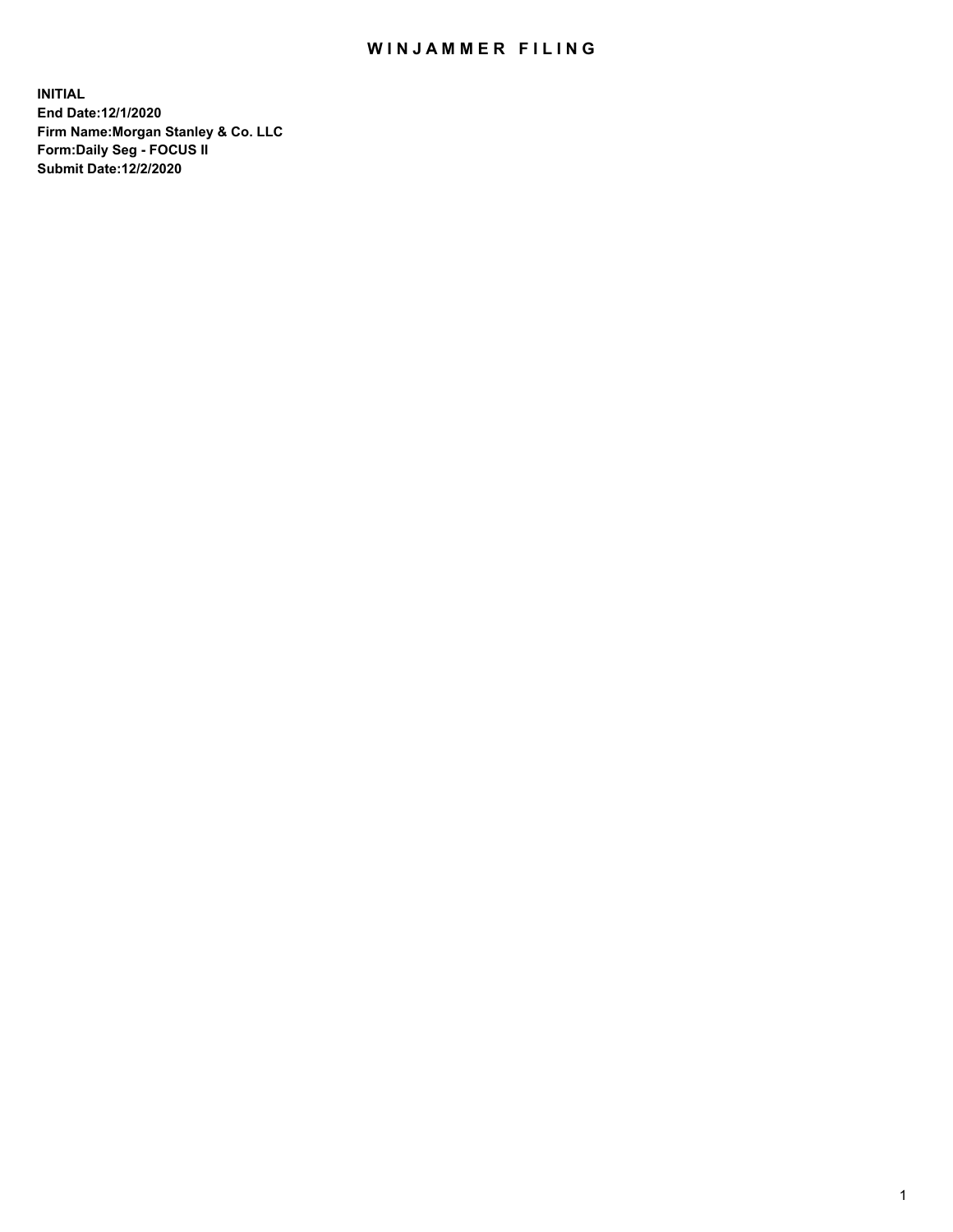## WIN JAMMER FILING

**INITIAL End Date:12/1/2020 Firm Name:Morgan Stanley & Co. LLC Form:Daily Seg - FOCUS II Submit Date:12/2/2020**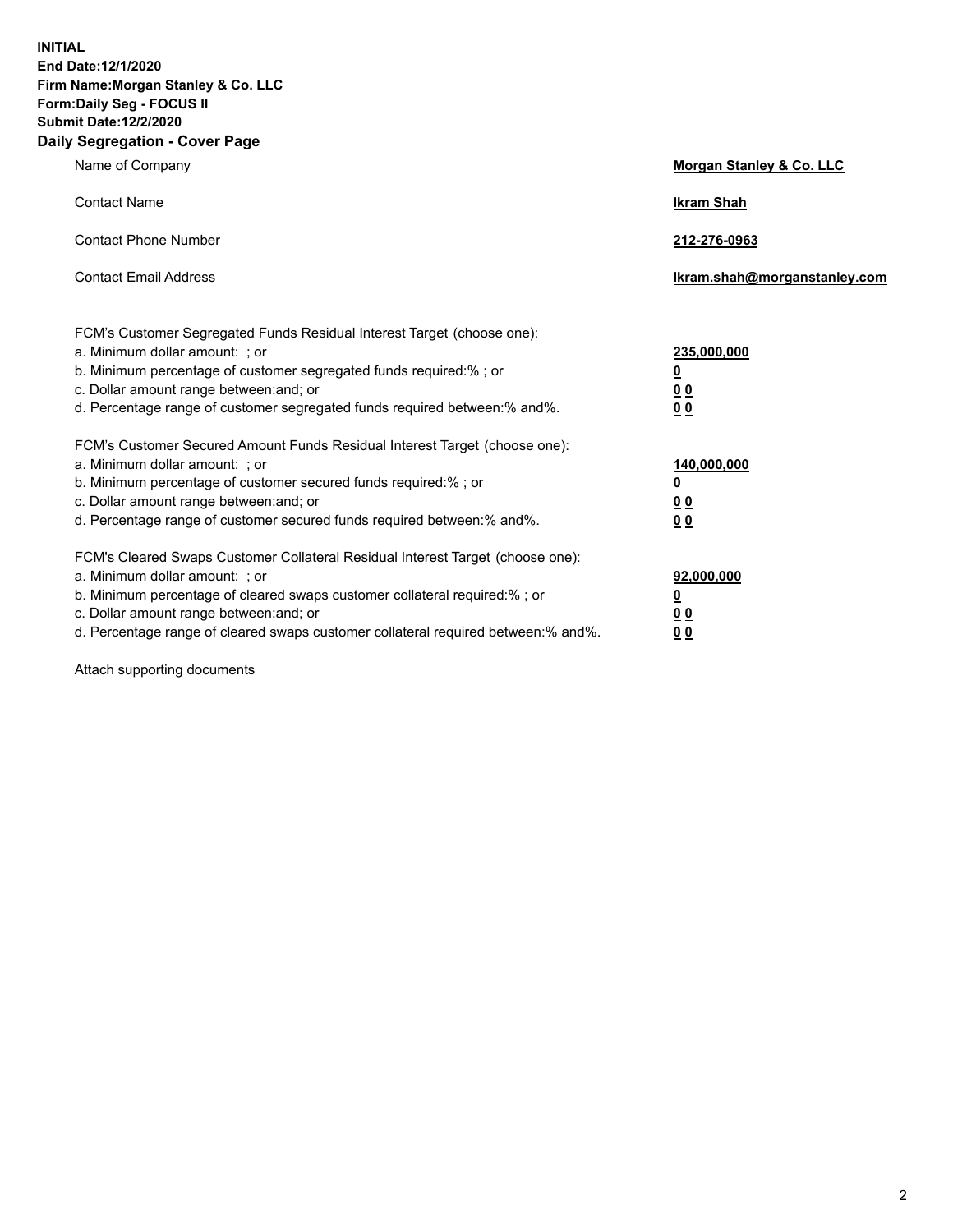**INITIAL End Date:12/1/2020 Firm Name:Morgan Stanley & Co. LLC Form:Daily Seg - FOCUS II Submit Date:12/2/2020 Daily Segregation - Cover Page**

| Name of Company                                                                                                                                                                                                                                                                                                                | <b>Morgan Stanley &amp; Co. LLC</b>                        |
|--------------------------------------------------------------------------------------------------------------------------------------------------------------------------------------------------------------------------------------------------------------------------------------------------------------------------------|------------------------------------------------------------|
| <b>Contact Name</b>                                                                                                                                                                                                                                                                                                            | <b>Ikram Shah</b>                                          |
| <b>Contact Phone Number</b>                                                                                                                                                                                                                                                                                                    | 212-276-0963                                               |
| <b>Contact Email Address</b>                                                                                                                                                                                                                                                                                                   | lkram.shah@morganstanley.com                               |
| FCM's Customer Segregated Funds Residual Interest Target (choose one):<br>a. Minimum dollar amount: ; or<br>b. Minimum percentage of customer segregated funds required:%; or<br>c. Dollar amount range between: and; or<br>d. Percentage range of customer segregated funds required between: % and %.                        | 235,000,000<br><u>0</u><br><u>00</u><br>0 <sup>0</sup>     |
| FCM's Customer Secured Amount Funds Residual Interest Target (choose one):<br>a. Minimum dollar amount: ; or<br>b. Minimum percentage of customer secured funds required:%; or<br>c. Dollar amount range between: and; or<br>d. Percentage range of customer secured funds required between: % and %.                          | 140,000,000<br><u>0</u><br><u>00</u><br>0 <sup>0</sup>     |
| FCM's Cleared Swaps Customer Collateral Residual Interest Target (choose one):<br>a. Minimum dollar amount: ; or<br>b. Minimum percentage of cleared swaps customer collateral required:% ; or<br>c. Dollar amount range between: and; or<br>d. Percentage range of cleared swaps customer collateral required between:% and%. | 92,000,000<br><u>0</u><br>0 <sup>0</sup><br>0 <sub>0</sub> |

Attach supporting documents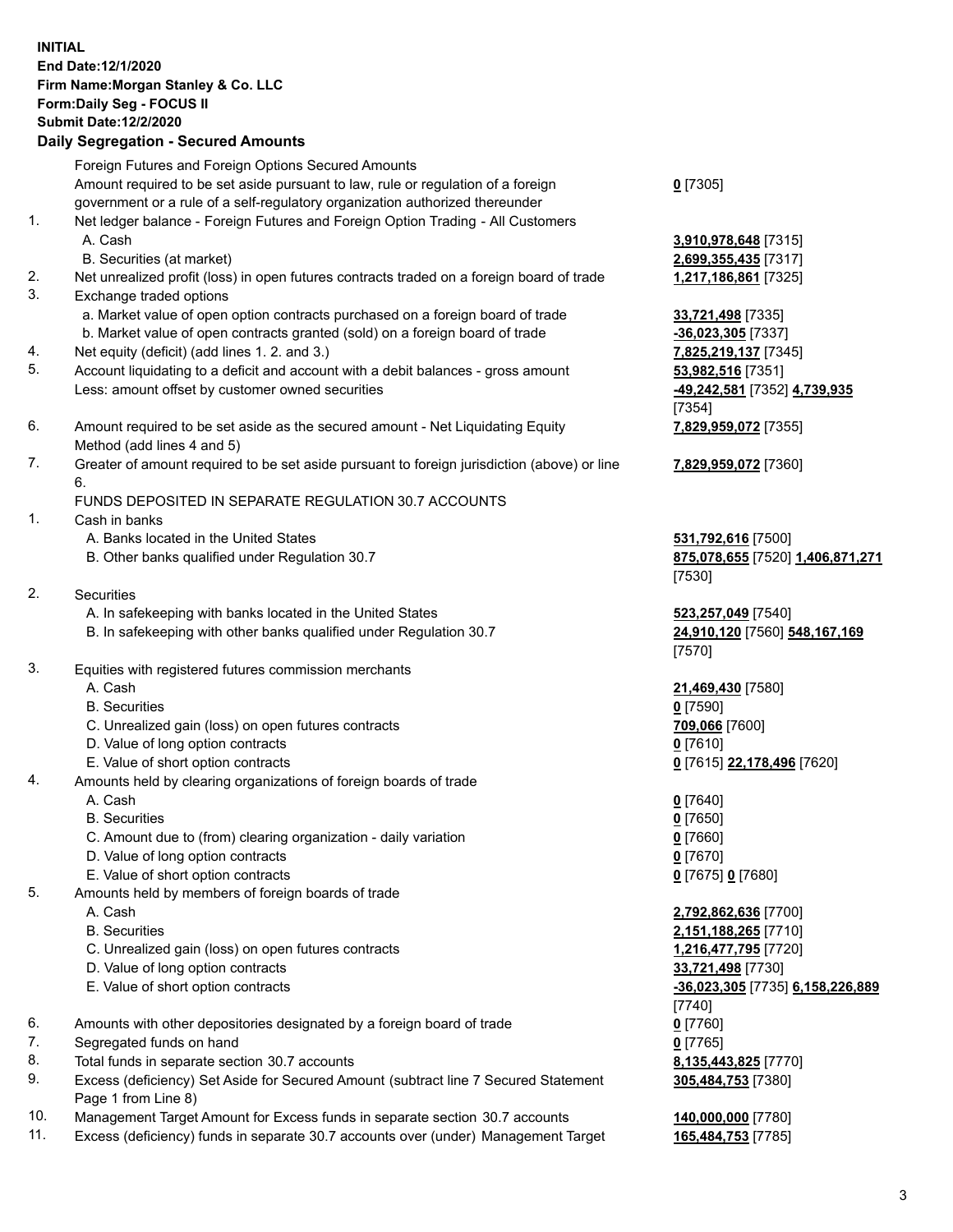## **INITIAL End Date:12/1/2020 Firm Name:Morgan Stanley & Co. LLC Form:Daily Seg - FOCUS II Submit Date:12/2/2020 Daily Segregation - Secured Amounts** Foreign Futures and Foreign Options Secured Amounts

Amount required to be set aside pursuant to law, rule or regulation of a foreign government or a rule of a self-regulatory organization authorized thereunder

- 1. Net ledger balance Foreign Futures and Foreign Option Trading All Customers A. Cash **3,910,978,648** [7315]
	- B. Securities (at market) **2,699,355,435** [7317]
- 2. Net unrealized profit (loss) in open futures contracts traded on a foreign board of trade **1,217,186,861** [7325]
- 3. Exchange traded options
	- a. Market value of open option contracts purchased on a foreign board of trade **33,721,498** [7335]
	- b. Market value of open contracts granted (sold) on a foreign board of trade **-36,023,305** [7337]
- 4. Net equity (deficit) (add lines 1. 2. and 3.) **7,825,219,137** [7345]
- 5. Account liquidating to a deficit and account with a debit balances gross amount **53,982,516** [7351] Less: amount offset by customer owned securities **-49,242,581** [7352] **4,739,935**
- 6. Amount required to be set aside as the secured amount Net Liquidating Equity Method (add lines 4 and 5)
- 7. Greater of amount required to be set aside pursuant to foreign jurisdiction (above) or line 6.

## FUNDS DEPOSITED IN SEPARATE REGULATION 30.7 ACCOUNTS

- 1. Cash in banks
	- A. Banks located in the United States **531,792,616** [7500]
	- B. Other banks qualified under Regulation 30.7 **875,078,655** [7520] **1,406,871,271**
- 2. Securities
	- A. In safekeeping with banks located in the United States **523,257,049** [7540]
	- B. In safekeeping with other banks qualified under Regulation 30.7 **24,910,120** [7560] **548,167,169**
- 3. Equities with registered futures commission merchants
	-
	- B. Securities **0** [7590]
	- C. Unrealized gain (loss) on open futures contracts **709,066** [7600]
	- D. Value of long option contracts **0** [7610]
	- E. Value of short option contracts **0** [7615] **22,178,496** [7620]
- 4. Amounts held by clearing organizations of foreign boards of trade
	- A. Cash **0** [7640]
	- B. Securities **0** [7650]
	- C. Amount due to (from) clearing organization daily variation **0** [7660]
	- D. Value of long option contracts **0** [7670]
	- E. Value of short option contracts **0** [7675] **0** [7680]
- 5. Amounts held by members of foreign boards of trade
	-
	-
	- C. Unrealized gain (loss) on open futures contracts **1,216,477,795** [7720]
	- D. Value of long option contracts **33,721,498** [7730]
	- E. Value of short option contracts **-36,023,305** [7735] **6,158,226,889**
- 6. Amounts with other depositories designated by a foreign board of trade **0** [7760]
- 7. Segregated funds on hand **0** [7765]
- 8. Total funds in separate section 30.7 accounts **8,135,443,825** [7770]
- 9. Excess (deficiency) Set Aside for Secured Amount (subtract line 7 Secured Statement Page 1 from Line 8)
- 10. Management Target Amount for Excess funds in separate section 30.7 accounts **140,000,000** [7780]
- 11. Excess (deficiency) funds in separate 30.7 accounts over (under) Management Target **165,484,753** [7785]

|  | ٠., |
|--|-----|
|--|-----|

[7354] **7,829,959,072** [7355]

**7,829,959,072** [7360]

[7530]

[7570]

A. Cash **21,469,430** [7580]

 A. Cash **2,792,862,636** [7700] B. Securities **2,151,188,265** [7710] [7740] **305,484,753** [7380]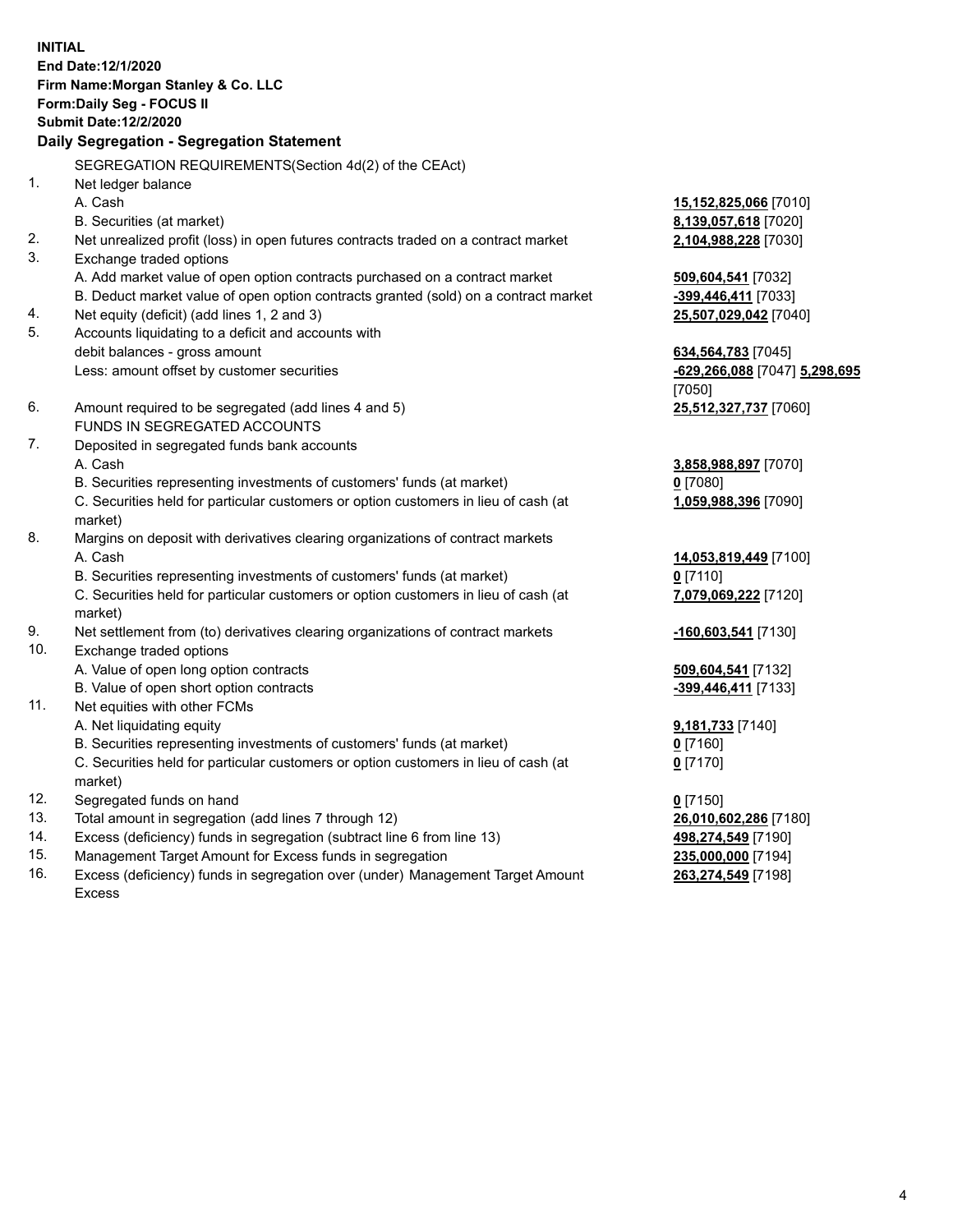**INITIAL End Date:12/1/2020 Firm Name:Morgan Stanley & Co. LLC Form:Daily Seg - FOCUS II Submit Date:12/2/2020 Daily Segregation - Segregation Statement** SEGREGATION REQUIREMENTS(Section 4d(2) of the CEAct) 1. Net ledger balance A. Cash **15,152,825,066** [7010] B. Securities (at market) **8,139,057,618** [7020] 2. Net unrealized profit (loss) in open futures contracts traded on a contract market **2,104,988,228** [7030] 3. Exchange traded options A. Add market value of open option contracts purchased on a contract market **509,604,541** [7032] B. Deduct market value of open option contracts granted (sold) on a contract market **-399,446,411** [7033] 4. Net equity (deficit) (add lines 1, 2 and 3) **25,507,029,042** [7040] 5. Accounts liquidating to a deficit and accounts with debit balances - gross amount **634,564,783** [7045] Less: amount offset by customer securities **-629,266,088** [7047] **5,298,695** [7050] 6. Amount required to be segregated (add lines 4 and 5) **25,512,327,737** [7060] FUNDS IN SEGREGATED ACCOUNTS 7. Deposited in segregated funds bank accounts A. Cash **3,858,988,897** [7070] B. Securities representing investments of customers' funds (at market) **0** [7080] C. Securities held for particular customers or option customers in lieu of cash (at market) **1,059,988,396** [7090] 8. Margins on deposit with derivatives clearing organizations of contract markets A. Cash **14,053,819,449** [7100] B. Securities representing investments of customers' funds (at market) **0** [7110] C. Securities held for particular customers or option customers in lieu of cash (at market) **7,079,069,222** [7120] 9. Net settlement from (to) derivatives clearing organizations of contract markets **-160,603,541** [7130] 10. Exchange traded options A. Value of open long option contracts **509,604,541** [7132] B. Value of open short option contracts **-399,446,411** [7133] 11. Net equities with other FCMs A. Net liquidating equity **9,181,733** [7140] B. Securities representing investments of customers' funds (at market) **0** [7160] C. Securities held for particular customers or option customers in lieu of cash (at market) **0** [7170] 12. Segregated funds on hand **0** [7150] 13. Total amount in segregation (add lines 7 through 12) **26,010,602,286** [7180] 14. Excess (deficiency) funds in segregation (subtract line 6 from line 13) **498,274,549** [7190]

- 15. Management Target Amount for Excess funds in segregation **235,000,000** [7194]
- 16. Excess (deficiency) funds in segregation over (under) Management Target Amount Excess

**263,274,549** [7198]